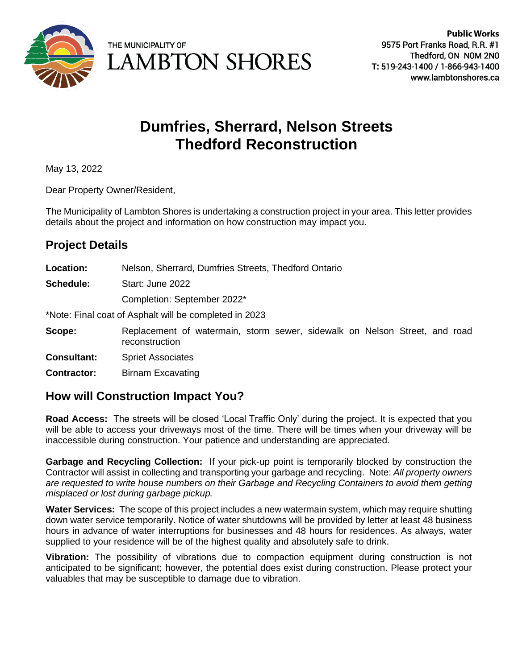

THE MUNICIPALITY OF **LAMBTON SHORES** 

# **Dumfries, Sherrard, Nelson Streets Thedford Reconstruction**

May 13, 2022

Dear Property Owner/Resident,

The Municipality of Lambton Shores is undertaking a construction project in your area. This letter provides details about the project and information on how construction may impact you.

## **Project Details**

- **Location:** Nelson, Sherrard, Dumfries Streets, Thedford Ontario
- **Schedule:** Start: June 2022

Completion: September 2022\*

\*Note: Final coat of Asphalt will be completed in 2023

- **Scope:** Replacement of watermain, storm sewer, sidewalk on Nelson Street, and road reconstruction
- **Consultant:** Spriet Associates

**Contractor:** Birnam Excavating

### **How will Construction Impact You?**

**Road Access:** The streets will be closed 'Local Traffic Only' during the project. It is expected that you will be able to access your driveways most of the time. There will be times when your driveway will be inaccessible during construction. Your patience and understanding are appreciated.

**Garbage and Recycling Collection:** If your pick-up point is temporarily blocked by construction the Contractor will assist in collecting and transporting your garbage and recycling. Note: *All property owners are requested to write house numbers on their Garbage and Recycling Containers to avoid them getting misplaced or lost during garbage pickup.*

**Water Services:** The scope of this project includes a new watermain system, which may require shutting down water service temporarily. Notice of water shutdowns will be provided by letter at least 48 business hours in advance of water interruptions for businesses and 48 hours for residences. As always, water supplied to your residence will be of the highest quality and absolutely safe to drink.

**Vibration:** The possibility of vibrations due to compaction equipment during construction is not anticipated to be significant; however, the potential does exist during construction. Please protect your valuables that may be susceptible to damage due to vibration.